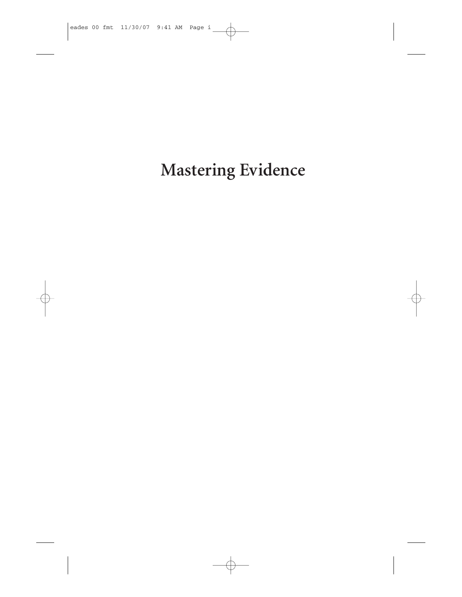**Mastering Evidence**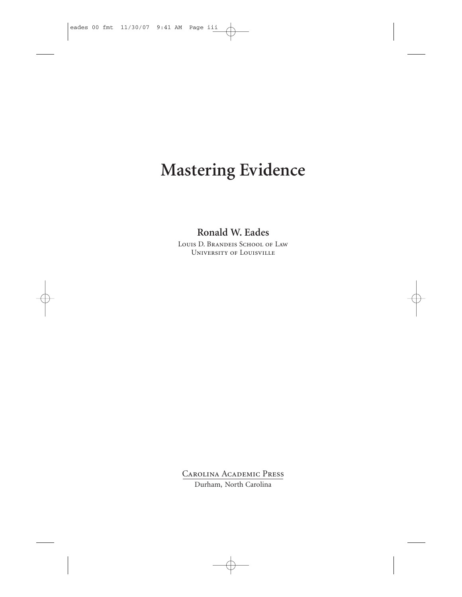# **Mastering Evidence**

#### **Ronald W. Eades**

Louis D. Brandeis School of Law University of Louisville

Carolina Academic Press Durham, North Carolina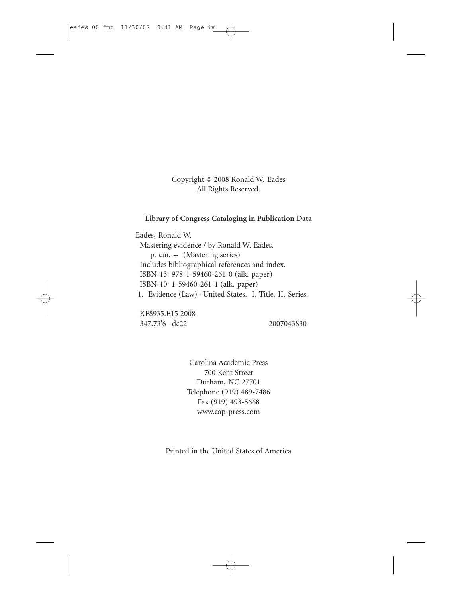Copyright © 2008 Ronald W. Eades All Rights Reserved.

#### **Library of Congress Cataloging in Publication Data**

Eades, Ronald W. Mastering evidence / by Ronald W. Eades. p. cm. -- (Mastering series) Includes bibliographical references and index. ISBN-13: 978-1-59460-261-0 (alk. paper) ISBN-10: 1-59460-261-1 (alk. paper) 1. Evidence (Law)--United States. I. Title. II. Series.

KF8935.E15 2008 347.73'6--dc22 2007043830

Carolina Academic Press 700 Kent Street Durham, NC 27701 Telephone (919) 489-7486 Fax (919) 493-5668 www.cap-press.com

Printed in the United States of America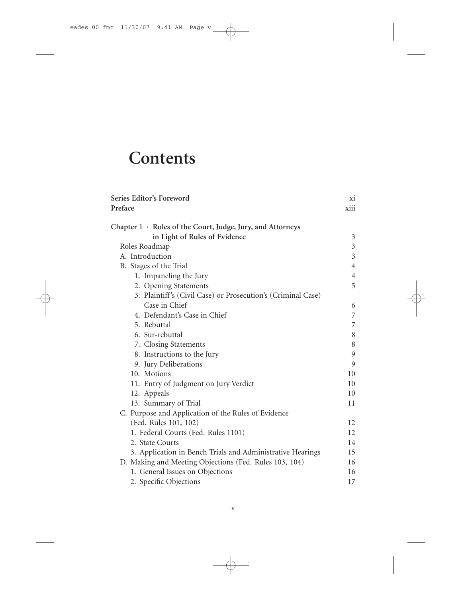# **Contents**

| Series Editor's Foreword                                     |                |
|--------------------------------------------------------------|----------------|
| Preface                                                      | xiii           |
| Chapter 1 · Roles of the Court, Judge, Jury, and Attorneys   |                |
| in Light of Rules of Evidence                                | 3              |
| Roles Roadmap                                                | 3              |
| A. Introduction                                              | 3              |
| B. Stages of the Trial                                       | $\overline{4}$ |
| 1. Impaneling the Jury                                       | $\overline{4}$ |
| 2. Opening Statements                                        | 5              |
| 3. Plaintiff's (Civil Case) or Prosecution's (Criminal Case) |                |
| Case in Chief                                                | 6              |
| 4. Defendant's Case in Chief                                 | $\overline{7}$ |
| 5. Rebuttal                                                  | 7              |
| 6. Sur-rebuttal                                              | 8              |
| 7. Closing Statements                                        | 8              |
| 8. Instructions to the Jury                                  | 9              |
| 9. Jury Deliberations                                        | 9              |
| 10. Motions                                                  | 10             |
| 11. Entry of Judgment on Jury Verdict                        | 10             |
| 12. Appeals                                                  | 10             |
| 13. Summary of Trial                                         | 11             |
| C. Purpose and Application of the Rules of Evidence          |                |
| (Fed. Rules 101, 102)                                        | 12             |
| 1. Federal Courts (Fed. Rules 1101)                          | 12             |
| 2. State Courts                                              | 14             |
| 3. Application in Bench Trials and Administrative Hearings   | 15             |
| D. Making and Meeting Objections (Fed. Rules 103, 104)       | 16             |
| 1. General Issues on Objections                              | 16             |
| 2. Specific Objections                                       | 17             |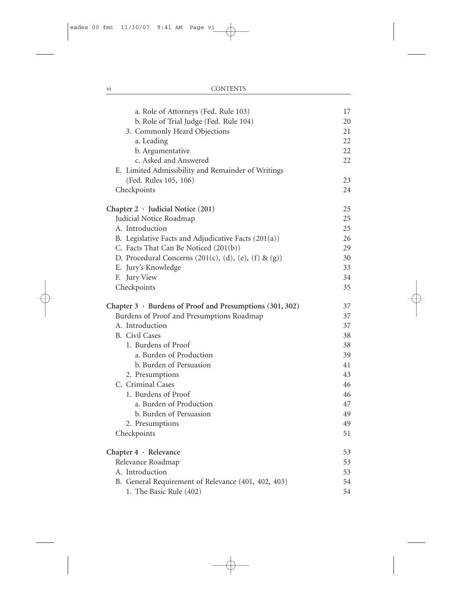| a. Role of Attorneys (Fed. Rule 103)                                                                                               | 17 |
|------------------------------------------------------------------------------------------------------------------------------------|----|
| b. Role of Trial Judge (Fed. Rule 104)                                                                                             | 20 |
| 3. Commonly Heard Objections                                                                                                       | 21 |
| a. Leading                                                                                                                         | 22 |
| b. Argumentative                                                                                                                   | 22 |
| c. Asked and Answered                                                                                                              | 22 |
| E. Limited Admissibility and Remainder of Writings                                                                                 |    |
| (Fed. Rules 105, 106)                                                                                                              | 23 |
| Checkpoints                                                                                                                        | 24 |
| Chapter $2 \cdot$ Judicial Notice (201)                                                                                            | 25 |
| Judicial Notice Roadmap                                                                                                            | 25 |
| A. Introduction                                                                                                                    | 25 |
| B. Legislative Facts and Adjudicative Facts (201(a))                                                                               | 26 |
| C. Facts That Can Be Noticed (201(b))                                                                                              | 29 |
| D. Procedural Concerns $(201(c), (d), (e), (f) & (g))$                                                                             | 30 |
| E. Jury's Knowledge                                                                                                                | 33 |
| F. Jury View                                                                                                                       | 34 |
| Checkpoints                                                                                                                        | 35 |
|                                                                                                                                    | 37 |
|                                                                                                                                    | 37 |
| A. Introduction                                                                                                                    | 37 |
| <b>B.</b> Civil Cases                                                                                                              | 38 |
| Chapter $3 \cdot$ Burdens of Proof and Presumptions (301, 302)<br>Burdens of Proof and Presumptions Roadmap<br>1. Burdens of Proof | 38 |
| a. Burden of Production                                                                                                            | 39 |
| b. Burden of Persuasion                                                                                                            | 41 |
| 2. Presumptions                                                                                                                    | 43 |
| C. Criminal Cases                                                                                                                  | 46 |
| 1. Burdens of Proof                                                                                                                | 46 |
| a. Burden of Production                                                                                                            | 47 |
| b. Burden of Persuasion                                                                                                            | 49 |
| 2. Presumptions                                                                                                                    | 49 |
| Checkpoints                                                                                                                        | 51 |
| Chapter 4 · Relevance                                                                                                              | 53 |
| Relevance Roadmap                                                                                                                  | 53 |
| A. Introduction                                                                                                                    | 53 |
| B. General Requirement of Relevance (401, 402, 403)                                                                                | 54 |
| 1. The Basic Rule (402)                                                                                                            | 54 |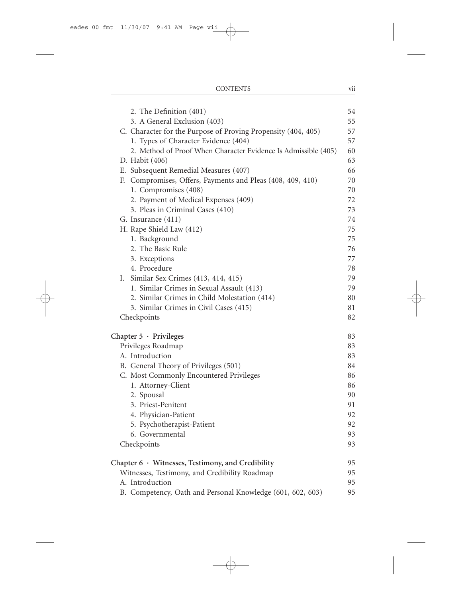| 2. The Definition (401)                                        | 54 |
|----------------------------------------------------------------|----|
| 3. A General Exclusion (403)                                   | 55 |
| C. Character for the Purpose of Proving Propensity (404, 405)  | 57 |
| 1. Types of Character Evidence (404)                           | 57 |
| 2. Method of Proof When Character Evidence Is Admissible (405) | 60 |
| D. Habit (406)                                                 | 63 |
| E. Subsequent Remedial Measures (407)                          | 66 |
| F. Compromises, Offers, Payments and Pleas (408, 409, 410)     | 70 |
| 1. Compromises (408)                                           | 70 |
| 2. Payment of Medical Expenses (409)                           | 72 |
| 3. Pleas in Criminal Cases (410)                               | 73 |
| G. Insurance (411)                                             | 74 |
| H. Rape Shield Law (412)                                       | 75 |
| 1. Background                                                  | 75 |
| 2. The Basic Rule                                              | 76 |
| 3. Exceptions                                                  | 77 |
| 4. Procedure                                                   | 78 |
| Similar Sex Crimes (413, 414, 415)<br>Ι.                       | 79 |
| 1. Similar Crimes in Sexual Assault (413)                      | 79 |
| 2. Similar Crimes in Child Molestation (414)                   | 80 |
| 3. Similar Crimes in Civil Cases (415)                         | 81 |
| Checkpoints                                                    | 82 |
| Chapter $5 \cdot$ Privileges                                   | 83 |
| Privileges Roadmap                                             | 83 |
| A. Introduction                                                | 83 |
| B. General Theory of Privileges (501)                          | 84 |
| C. Most Commonly Encountered Privileges                        | 86 |
| 1. Attorney-Client                                             | 86 |
| 2. Spousal                                                     | 90 |
| 3. Priest-Penitent                                             | 91 |
| 4. Physician-Patient                                           | 92 |
| 5. Psychotherapist-Patient                                     | 92 |
| 6. Governmental                                                | 93 |
| Checkpoints                                                    | 93 |
| Chapter 6 · Witnesses, Testimony, and Credibility              | 95 |
| Witnesses, Testimony, and Credibility Roadmap                  | 95 |
| A. Introduction                                                | 95 |
| B. Competency, Oath and Personal Knowledge (601, 602, 603)     | 95 |
|                                                                |    |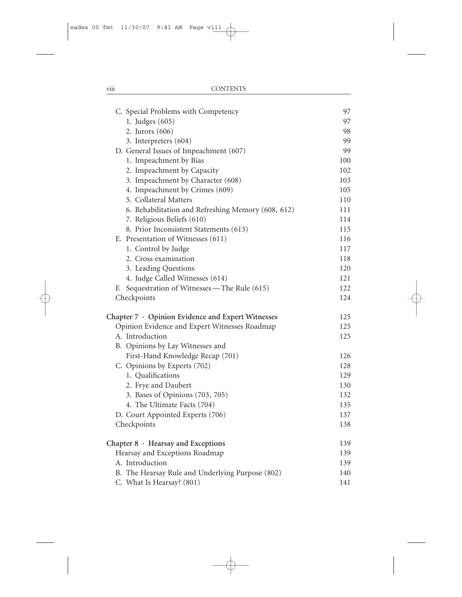| C. Special Problems with Competency                | 97  |
|----------------------------------------------------|-----|
| 1. Judges (605)                                    | 97  |
| 2. Jurors (606)                                    | 98  |
| 3. Interpreters (604)                              | 99  |
| D. General Issues of Impeachment (607)             | 99  |
| 1. Impeachment by Bias                             | 100 |
| 2. Impeachment by Capacity                         | 102 |
| 3. Impeachment by Character (608)                  | 103 |
| 4. Impeachment by Crimes (609)                     | 105 |
| 5. Collateral Matters                              | 110 |
| 6. Rehabilitation and Refreshing Memory (608, 612) | 111 |
| 7. Religious Beliefs (610)                         | 114 |
| 8. Prior Inconsistent Statements (613)             | 115 |
| E. Presentation of Witnesses (611)                 | 116 |
| 1. Control by Judge                                | 117 |
| 2. Cross examination                               | 118 |
| 3. Leading Questions                               | 120 |
| 4. Judge Called Witnesses (614)                    | 121 |
| F. Sequestration of Witnesses—The Rule (615)       | 122 |
| Checkpoints                                        | 124 |
| Chapter 7 · Opinion Evidence and Expert Witnesses  | 125 |
| Opinion Evidence and Expert Witnesses Roadmap      | 125 |
| A. Introduction                                    | 125 |
| B. Opinions by Lay Witnesses and                   |     |
| First-Hand Knowledge Recap (701)                   | 126 |
| C. Opinions by Experts (702)                       | 128 |
| 1. Qualifications                                  | 129 |
| 2. Frye and Daubert                                | 130 |
| 3. Bases of Opinions (703, 705)                    | 132 |
| 4. The Ultimate Facts (704)                        | 135 |
| D. Court Appointed Experts (706)                   | 137 |
| Checkpoints                                        | 138 |
| Chapter 8 · Hearsay and Exceptions                 | 139 |
| Hearsay and Exceptions Roadmap                     | 139 |
| A. Introduction                                    | 139 |
| B. The Hearsay Rule and Underlying Purpose (802)   | 140 |
| C. What Is Hearsay? (801)                          | 141 |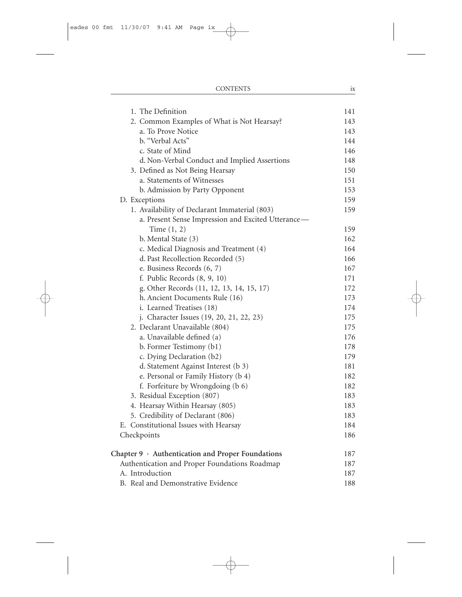| 1. The Definition                                       | 141 |
|---------------------------------------------------------|-----|
| 2. Common Examples of What is Not Hearsay?              | 143 |
| a. To Prove Notice                                      | 143 |
| b. "Verbal Acts"                                        | 144 |
| c. State of Mind                                        | 146 |
| d. Non-Verbal Conduct and Implied Assertions            | 148 |
| 3. Defined as Not Being Hearsay                         | 150 |
| a. Statements of Witnesses                              | 151 |
| b. Admission by Party Opponent                          | 153 |
| D. Exceptions                                           | 159 |
| 1. Availability of Declarant Immaterial (803)           | 159 |
| a. Present Sense Impression and Excited Utterance-      |     |
| Time $(1, 2)$                                           | 159 |
| b. Mental State (3)                                     | 162 |
| c. Medical Diagnosis and Treatment (4)                  | 164 |
| d. Past Recollection Recorded (5)                       | 166 |
| e. Business Records (6, 7)                              | 167 |
| f. Public Records $(8, 9, 10)$                          | 171 |
| g. Other Records (11, 12, 13, 14, 15, 17)               | 172 |
| h. Ancient Documents Rule (16)                          | 173 |
| i. Learned Treatises (18)                               | 174 |
| j. Character Issues (19, 20, 21, 22, 23)                | 175 |
| 2. Declarant Unavailable (804)                          | 175 |
| a. Unavailable defined (a)                              | 176 |
| b. Former Testimony (b1)                                | 178 |
| c. Dying Declaration (b2)                               | 179 |
| d. Statement Against Interest (b 3)                     | 181 |
| e. Personal or Family History (b 4)                     | 182 |
| f. Forfeiture by Wrongdoing (b 6)                       | 182 |
| 3. Residual Exception (807)                             | 183 |
| 4. Hearsay Within Hearsay (805)                         | 183 |
| 5. Credibility of Declarant (806)                       | 183 |
| Constitutional Issues with Hearsay<br>Е.                | 184 |
| Checkpoints                                             | 186 |
| Chapter $9 \cdot$ Authentication and Proper Foundations | 187 |
| Authentication and Proper Foundations Roadmap           | 187 |
| A. Introduction                                         | 187 |
| B. Real and Demonstrative Evidence                      | 188 |

CONTENTS ix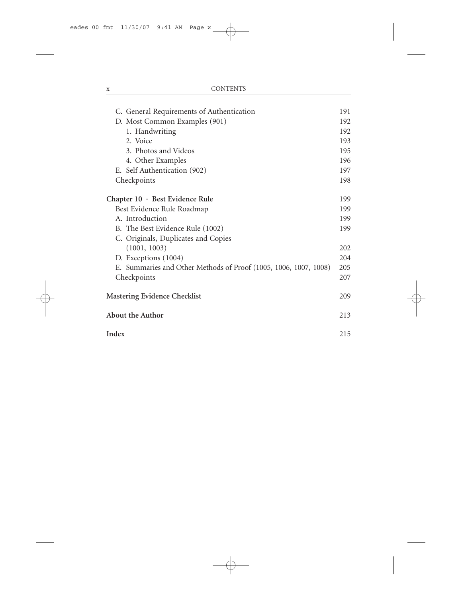| C. General Requirements of Authentication                        | 191 |
|------------------------------------------------------------------|-----|
| D. Most Common Examples (901)                                    | 192 |
| 1. Handwriting                                                   | 192 |
| 2. Voice                                                         | 193 |
| 3. Photos and Videos                                             | 195 |
| 4. Other Examples                                                | 196 |
| E. Self Authentication (902)                                     | 197 |
| Checkpoints                                                      | 198 |
| Chapter 10 · Best Evidence Rule                                  | 199 |
| Best Evidence Rule Roadmap                                       | 199 |
| A. Introduction                                                  | 199 |
| B. The Best Evidence Rule (1002)                                 | 199 |
| C. Originals, Duplicates and Copies                              |     |
| (1001, 1003)                                                     | 202 |
| D. Exceptions (1004)                                             | 204 |
| E. Summaries and Other Methods of Proof (1005, 1006, 1007, 1008) | 205 |
| Checkpoints                                                      | 207 |
| Mastering Evidence Checklist                                     | 209 |
| About the Author                                                 | 213 |
| Index                                                            | 215 |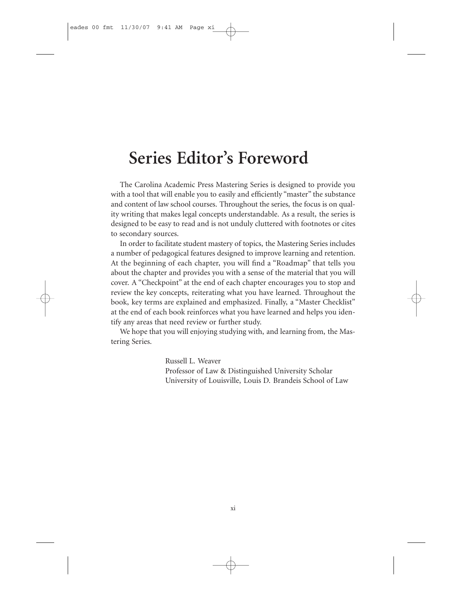## **Series Editor's Foreword**

The Carolina Academic Press Mastering Series is designed to provide you with a tool that will enable you to easily and efficiently "master" the substance and content of law school courses. Throughout the series, the focus is on quality writing that makes legal concepts understandable. As a result, the series is designed to be easy to read and is not unduly cluttered with footnotes or cites to secondary sources.

In order to facilitate student mastery of topics, the Mastering Series includes a number of pedagogical features designed to improve learning and retention. At the beginning of each chapter, you will find a "Roadmap" that tells you about the chapter and provides you with a sense of the material that you will cover. A "Checkpoint" at the end of each chapter encourages you to stop and review the key concepts, reiterating what you have learned. Throughout the book, key terms are explained and emphasized. Finally, a "Master Checklist" at the end of each book reinforces what you have learned and helps you identify any areas that need review or further study.

We hope that you will enjoying studying with, and learning from, the Mastering Series.

> Russell L. Weaver Professor of Law & Distinguished University Scholar University of Louisville, Louis D. Brandeis School of Law